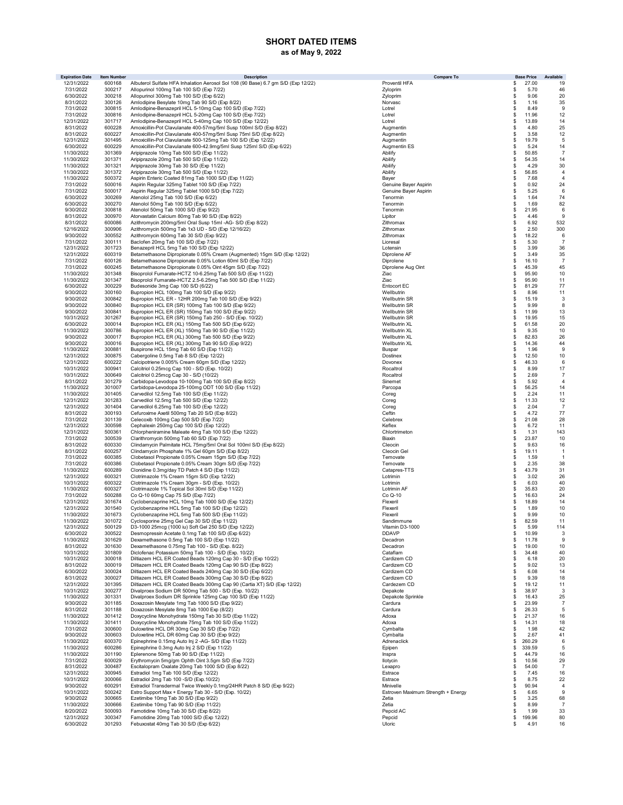## SHORT DATED ITEMS as of May 9, 2022

| <b>Expiration Date</b>   | <b>Item Number</b> | <b>Description</b>                                                                                                    | <b>Compare To</b>                  |                     | <b>Base Price</b> | Available                        |
|--------------------------|--------------------|-----------------------------------------------------------------------------------------------------------------------|------------------------------------|---------------------|-------------------|----------------------------------|
| 12/31/2022               | 600168             | Albuterol Sulfate HFA Inhalation Aerosol Sol 108 (90 Base) 6.7 gm S/D (Exp 12/22)                                     | Proventil HFA                      | \$                  | 27.00             | 19                               |
| 7/31/2022                | 300217             | Allopurinol 100mg Tab 100 S/D (Exp 7/22)                                                                              | Zyloprim                           | \$                  | 5.70              | 46                               |
| 6/30/2022<br>8/31/2022   | 300218<br>300126   | Allopurinol 300mg Tab 100 S/D (Exp 6/22)<br>Amlodipine Besylate 10mg Tab 90 S/D (Exp 8/22)                            | Zyloprim<br>Norvasc                | \$<br>\$            | 9.06<br>1.16      | 20<br>35                         |
| 7/31/2022                | 300815             | Amlodipine-Benazepril HCL 5-10mg Cap 100 S/D (Exp 7/22)                                                               | Lotrel                             | \$                  | 8.49              | 9                                |
| 7/31/2022                | 300816             | Amlodipine-Benazepril HCL 5-20mg Cap 100 S/D (Exp 7/22)                                                               | Lotrel                             | \$                  | 11.96             | 12                               |
| 12/31/2022               | 301717             | Amlodipine-Benazepril HCL 5-40mg Cap 100 S/D (Exp 12/22)                                                              | Lotrel                             | \$                  | 13.89             | 14                               |
| 8/31/2022                | 600228             | Amoxicillin-Pot Clavulanate 400-57mg/5ml Susp 100ml S/D (Exp 8/22)                                                    | Augmentin                          | \$                  | 4.80              | 25                               |
| 8/31/2022                | 600227             | Amoxicillin-Pot Clavulanate 400-57mg/5ml Susp 75ml S/D (Exp 8/22)                                                     | Augmentin                          | \$                  | 3.58              | 12                               |
| 12/31/2022               | 301495             | Amoxicillin-Pot Clavulanate 500-125mg Tab 100 S/D (Exp 12/22)                                                         | Augmentin                          | \$                  | 19.79             | 5                                |
| 6/30/2022                | 600229             | Amoxicillin-Pot Clavulanate 600-42.9mg/5ml Susp 125ml S/D (Exp 6/22)                                                  | Augmentin ES                       | \$                  | 5.24              | 14                               |
| 11/30/2022               | 301369             | Aripiprazole 10mg Tab 500 S/D (Exp 11/22)                                                                             | Abilify                            | \$                  | 50.85             | $\overline{7}$                   |
| 11/30/2022               | 301371             | Aripiprazole 20mg Tab 500 S/D (Exp 11/22)                                                                             | Abilify                            | \$                  | 54.35             | 14                               |
| 11/30/2022               | 301321             | Aripiprazole 30mg Tab 30 S/D (Exp 11/22)                                                                              | Abilify                            | \$                  | 4.29              | 30                               |
| 11/30/2022<br>11/30/2022 | 301372<br>500372   | Aripiprazole 30mg Tab 500 S/D (Exp 11/22)<br>Aspirin Enteric Coated 81mg Tab 1000 S/D (Exp 11/22)                     | Abilify<br>Bayer                   | \$<br>\$            | 56.85<br>7.68     | $\overline{4}$<br>$\overline{4}$ |
| 7/31/2022                | 500016             | Aspirin Regular 325mg Tablet 100 S/D (Exp 7/22)                                                                       | Genuine Bayer Aspirin              | \$                  | 0.92              | 24                               |
| 7/31/2022                | 500017             | Aspirin Regular 325mg Tablet 1000 S/D (Exp 7/22)                                                                      | Genuine Bayer Aspirin              | \$                  | 5.25              | 6                                |
| 6/30/2022                | 300269             | Atenolol 25mg Tab 100 S/D (Exp 6/22)                                                                                  | Tenormin                           | <sup>\$</sup>       | 1.64              | 74                               |
| 6/30/2022                | 300270             | Atenolol 50mg Tab 100 S/D (Exp 6/22)                                                                                  | Tenormin                           | \$                  | 1.69              | 82                               |
| 9/30/2022                | 300818             | Atenolol 50mg Tab 1000 S/D (Exp 9/22)                                                                                 | Tenormin                           | \$                  | 21.95             | 6                                |
| 8/31/2022                | 300970             | Atorvastatin Calcium 80mg Tab 90 S/D (Exp 8/22)                                                                       | Lipitor                            | \$                  | 4.46              | 9                                |
| 8/31/2022                | 600086             | Azithromycin 200mg/5ml Oral Susp 15ml -AG- S/D (Exp 8/22)                                                             | Zithromax                          | \$                  | 6.92              | 532                              |
| 12/16/2022               | 300906             | Azithromycin 500mg Tab 1x3 UD - S/D (Exp 12/16/22)                                                                    | Zithromax                          | \$                  | 2.50              | 300                              |
| 9/30/2022                | 300552             | Azithromycin 600mg Tab 30 S/D (Exp 9/22)                                                                              | Zithromax                          | \$                  | 18.22             | 6                                |
| 7/31/2022                | 300111             | Baclofen 20mg Tab 100 S/D (Exp 7/22)                                                                                  | Lioresal                           | \$                  | 5.30              | $\overline{7}$                   |
| 12/31/2022<br>12/31/2022 | 301723<br>600319   | Benazepril HCL 5mg Tab 100 S/D (Exp 12/22)<br>Betamethasone Dipropionate 0.05% Cream (Augmented) 15gm S/D (Exp 12/22) | Lotensin<br>Diprolene AF           | \$<br>\$            | 3.99<br>3.49      | 36<br>35                         |
| 7/31/2022                | 600126             | Betamethasone Dipropionate 0.05% Lotion 60ml S/D (Exp 7/22)                                                           | Diprolene                          | \$                  | 16.10             | $\overline{7}$                   |
| 7/31/2022                | 600245             | Betamethasone Dipropionate 0.05% Oint 45gm S/D (Exp 7/22)                                                             | Diprolene Aug Oint                 | \$                  | 45.39             | 45                               |
| 11/30/2022               | 301348             | Bisoprolol Fumarate-HCTZ 10-6.25mg Tab 500 S/D (Exp 11/22)                                                            | Ziac                               | \$                  | 95.90             | 10                               |
| 11/30/2022               | 301347             | Bisoprolol Fumarate-HCTZ 2.5-6.25mg Tab 500 S/D (Exp 11/22)                                                           | Ziac                               | \$                  | 95.90             | 11                               |
| 6/30/2022                | 300229             | Budesonide 3mg Cap 100 S/D (6/22)                                                                                     | Entocort EC                        | \$                  | 81.29             | 77                               |
| 9/30/2022                | 300160             | Bupropion HCL 100mg Tab 100 S/D (Exp 9/22)                                                                            | Wellbutrin                         | \$                  | 8.96              | 11                               |
| 9/30/2022                | 300842             | Bupropion HCL ER - 12HR 200mg Tab 100 S/D (Exp 9/22)                                                                  | Wellbutrin SR                      | \$                  | 15.19             | 3                                |
| 9/30/2022                | 300840             | Bupropion HCL ER (SR) 100mg Tab 100 S/D (Exp 9/22)                                                                    | Wellbutrin SR                      | \$                  | 9.99              | 8                                |
| 9/30/2022                | 300841             | Bupropion HCL ER (SR) 150mg Tab 100 S/D (Exp 9/22)                                                                    | Wellbutrin SR                      | \$                  | 11.99             | 13                               |
| 10/31/2022               | 301267             | Bupropion HCL ER (SR) 150mg Tab 250 - S/D (Exp. 10/22)                                                                | Wellbutrin SR                      | <sup>\$</sup>       | 19.95             | 15                               |
| 6/30/2022                | 300014             | Bupropion HCL ER (XL) 150mg Tab 500 S/D (Exp 6/22)                                                                    | Wellbutrin XL                      | \$                  | 61.58             | 20                               |
| 11/30/2022               | 300786             | Bupropion HCL ER (XL) 150mg Tab 90 S/D (Exp 11/22)                                                                    | Wellbutrin XL                      | \$                  | 9.35              | 10                               |
| 9/30/2022<br>9/30/2022   | 300017<br>300016   | Bupropion HCL ER (XL) 300mg Tab 500 S/D (Exp 9/22)                                                                    | Wellbutrin XL<br>Wellbutrin XL     | \$<br>\$            | 82.83<br>14.36    | 26                               |
| 11/30/2022               | 300881             | Bupropion HCL ER (XL) 300mg Tab 90 S/D (Exp 9/22)<br>Buspirone HCL 15mg Tab 60 S/D (Exp 11/22)                        | Buspar                             | \$                  | 1.96              | 44<br>9                          |
| 12/31/2022               | 300875             | Cabergoline 0.5mg Tab 8 S/D (Exp 12/22)                                                                               | Dostinex                           | \$                  | 12.50             | 10                               |
| 12/31/2022               | 600222             | Calcipotriene 0.005% Cream 60gm S/D (Exp 12/22)                                                                       | Dovonex                            | \$                  | 46.33             | 6                                |
| 10/31/2022               | 300941             | Calcitriol 0.25mcg Cap 100 - S/D (Exp. 10/22)                                                                         | Rocaltrol                          | \$                  | 8.99              | 17                               |
| 10/31/2022               | 300649             | Calcitriol 0.25mcg Cap 30 - S/D (10/22)                                                                               | Rocaltrol                          | \$                  | 2.69              | $\overline{7}$                   |
| 8/31/2022                | 301279             | Carbidopa-Levodopa 10-100mg Tab 100 S/D (Exp 8/22)                                                                    | Sinemet                            | \$                  | 5.92              | $\overline{4}$                   |
| 11/30/2022               | 301007             | Carbidopa-Levodopa 25-100mg ODT 100 S/D (Exp 11/22)                                                                   | Parcopa                            | \$                  | 56.25             | 14                               |
| 11/30/2022               | 301405             | Carvedilol 12.5mg Tab 100 S/D (Exp 11/22)                                                                             | Coreg                              | \$                  | 2.24              | 11                               |
| 12/31/2022               | 301283             | Carvedilol 12.5mg Tab 500 S/D (Exp 12/22)                                                                             | Coreg                              | \$                  | 11.33             | 12                               |
| 12/31/2022               | 301404             | Carvedilol 6.25mg Tab 100 S/D (Exp 12/22)                                                                             | Coreg                              | \$                  | 2.04              | $\overline{7}$                   |
| 8/31/2022                | 300193             | Cefuroxime Axetil 500mg Tab 20 S/D (Exp 8/22)                                                                         | Ceftin                             | \$                  | 4.72              | 77                               |
| 7/31/2022<br>12/31/2022  | 301139<br>300598   | Celecoxib 100mg Cap 500 S/D (Exp 7/22)<br>Cephalexin 250mg Cap 100 S/D (Exp 12/22)                                    | Celebrex<br>Keflex                 | \$<br>\$            | 21.08<br>6.72     | 28<br>11                         |
| 12/31/2022               | 500361             | Chlorpheniramine Maleate 4mg Tab 100 S/D (Exp 12/22)                                                                  | Chlortrimeton                      | \$                  | 1.31              | 143                              |
| 7/31/2022                | 300539             | Clarithromycin 500mg Tab 60 S/D (Exp 7/22)                                                                            | Biaxin                             | \$                  | 23.87             | 10                               |
| 8/31/2022                | 600330             | Clindamycin Palmitate HCL 75mg/5ml Oral Sol 100ml S/D (Exp 8/22)                                                      | Cleocin                            | \$                  | 9.63              | 16                               |
| 8/31/2022                | 600257             | Clindamycin Phosphate 1% Gel 60gm S/D (Exp 8/22)                                                                      | Cleocin Gel                        | \$                  | 19.11             | -1                               |
| 7/31/2022                | 600385             | Clobetasol Propionate 0.05% Cream 15gm S/D (Exp 7/22)                                                                 | Temovate                           | \$                  | 1.59              | -1                               |
| 7/31/2022                | 600386             | Clobetasol Propionate 0.05% Cream 30gm S/D (Exp 7/22)                                                                 | Temovate                           | \$                  | 2.35              | 38                               |
| 11/30/2022               | 600289             | Clonidine 0.3mg/day TD Patch 4 S/D (Exp 11/22)                                                                        | Catapres-TTS                       | \$                  | 43.79             | 31                               |
| 12/31/2022               | 600321             | Clotrimazole 1% Cream 15gm S/D (Exp 12/22)                                                                            | Lotrimin                           | \$                  | 3.02              | 26                               |
| 10/31/2022               | 600322             | Clotrimazole 1% Cream 30am - S/D (Exp. 10/22)                                                                         | Lotrimin                           | \$                  | 6.03              | 40                               |
| 11/30/2022               | 600327             | Clotrimazole 1% Topical Sol 30ml S/D (Exp 11/22)                                                                      | Lotrimin AF                        | \$                  | 35.83             | 20                               |
| 7/31/2022<br>12/31/2022  | 500288<br>301674   | Co Q-10 60mg Cap 75 S/D (Exp 7/22)<br>Cyclobenzaprine HCL 10mg Tab 1000 S/D (Exp 12/22)                               | Co Q-10<br>Flexeril                | \$<br>\$            | 16.63<br>18.89    | 24<br>14                         |
| 12/31/2022               | 301540             | Cyclobenzaprine HCL 5mg Tab 100 S/D (Exp 12/22)                                                                       | Flexeril                           | \$                  | 1.89              | 10                               |
| 11/30/2022               | 301673             | Cyclobenzaprine HCL 5mg Tab 500 S/D (Exp 11/22)                                                                       | Flexeril                           | <sup>\$</sup>       | 9.99              | 10                               |
| 11/30/2022               | 301072             | Cyclosporine 25mg Gel Cap 30 S/D (Exp 11/22)                                                                          | Sandimmune                         | s.                  | 82.59             | 11                               |
| 12/31/2022               | 500129             | D3-1000 25mcg (1000 iu) Soft Gel 250 S/D (Exp 12/22)                                                                  | Vitamin D3-1000                    | ŝ.                  | 5.99              | 114                              |
| 6/30/2022                | 300522             | Desmopressin Acetate 0.1mg Tab 100 S/D (Exp 6/22)                                                                     | <b>DDAVP</b>                       | \$                  | 10.99             | 3                                |
| 11/30/2022               | 301629             | Dexamethasone 0.5mg Tab 100 S/D (Exp 11/22)                                                                           | Decadron                           | \$                  | 11.78             | 9                                |
| 8/31/2022                | 301630             | Dexamethasone 0.75mg Tab 100 - S/D (Exp. 8/22)                                                                        | Decadron                           | \$                  | 19.00             | 10                               |
| 10/31/2022<br>10/31/2022 | 301809             | Diclofenac Potassium 50mg Tab 100 - S/D (Exp. 10/22)<br>Diltiazem HCL ER Coated Beads 120mg Cap 30 - S/D (Exp 10/22)  | Cataflam                           | \$                  | 34.48             | 40                               |
|                          | 300018<br>300019   | Diltiazem HCL ER Coated Beads 120mg Cap 90 S/D (Exp 8/22)                                                             | Cardizem CD<br>Cardizem CD         | \$                  | 6.18              | 20<br>13                         |
| 8/31/2022<br>6/30/2022   | 300024             | Diltiazem HCL ER Coated Beads 240mg Cap 30 S/D (Exp 6/22)                                                             | Cardizem CD                        | \$<br>\$            | 9.02<br>6.08      | 14                               |
| 8/31/2022                | 300027             | Diltiazem HCL ER Coated Beads 300mg Cap 30 S/D (Exp 8/22)                                                             | Cardizem CD                        | \$                  | 9.39              | 18                               |
| 12/31/2022               | 301395             | Diltiazem HCL ER Coated Beads 300mg Cap 90 (Cartia XT) S/D (Exp 12/22)                                                | Cardezem CD                        | \$                  | 19.12             | 11                               |
| 10/31/2022               | 300277             | Divalproex Sodium DR 500mg Tab 500 - S/D (Exp. 10/22)                                                                 | Depakote                           | \$                  | 38.97             | 3                                |
| 11/30/2022               | 301331             | Divalproex Sodium DR Sprinkle 125mg Cap 100 S/D (Exp 11/22)                                                           | Depakote Sprinkle                  | \$                  | 16.43             | 25                               |
| 9/30/2022                | 301185             | Doxazosin Mesylate 1mg Tab 1000 S/D (Exp 9/22)                                                                        | Cardura                            | \$                  | 23.99             | $\overline{7}$                   |
| 8/31/2022                | 301188             | Doxazosin Mesylate 8mg Tab 1000 Exp (8/22)                                                                            | Cardura                            | \$                  | 26.33             | 5                                |
| 11/30/2022               | 301412             | Doxycycline Monohydrate 150mg Tab 30 S/D (Exp 11/22)                                                                  | Adoxa                              | \$                  | 21.37             | 16                               |
| 11/30/2022               | 301411             | Doxycycline Monohydrate 75mg Tab 100 S/D (Exp 11/22)                                                                  | Adoxa                              | \$                  | 14.31             | 18                               |
| 7/31/2022                | 300600             | Duloxetine HCL DR 30mg Cap 30 S/D (Exp 7/22)<br>Duloxetine HCL DR 60mg Cap 30 S/D (Exp 9/22)                          | Cymbalta<br>Cymbalta               | \$<br><sup>\$</sup> | 1.98              | 42                               |
| 9/30/2022<br>11/30/2022  | 300603<br>600370   | Epinephrine 0.15mg Auto Inj 2 -AG- S/D (Exp 11/22)                                                                    | Adrenaclick                        | \$                  | 2.67<br>260.29    | 41<br>6                          |
| 11/30/2022               | 600286             | Epinephrine 0.3mg Auto Inj 2 S/D (Exp 11/22)                                                                          | Epipen                             | \$                  | 339.59            | 5                                |
| 11/30/2022               | 301190             | Eplerenone 50mg Tab 90 S/D (Exp 11/22)                                                                                | Inspra                             | \$                  | 44.79             | 16                               |
| 7/31/2022                | 600029             | Erythromycin 5mg/gm Ophth Oint 3.5gm S/D (Exp 7/22)                                                                   | llotycin                           | \$                  | 10.56             | 29                               |
| 8/31/2022                | 300487             | Escitalopram Oxalate 20mg Tab 1000 S/D (Exp 8/22)                                                                     | Lexapro                            | \$                  | 54.00             | $\overline{7}$                   |
| 12/31/2022               | 300945             | Estradiol 1mg Tab 100 S/D (Exp 12/22)                                                                                 | Estrace                            | \$                  | 7.45              | 16                               |
| 10/31/2022               | 300066             | Estradiol 2mg Tab 100 - S/D (Exp.10/22)                                                                               | Estrace                            | \$                  | 8.75              | 22                               |
| 9/30/2022                | 600291             | Estradiol Transdermal Twice Weekly 0.1mg/24HR Patch 8 S/D (Exp 9/22)                                                  | Minivelle                          | \$                  | 90.94             | 4                                |
| 10/31/2022               | 500242             | Estro Support Max + Energy Tab 30 - S/D (Exp. 10/22)                                                                  | Estroven Maximum Strength + Energy | \$                  | 6.65              | 9                                |
| 9/30/2022                | 300665             | Ezetimibe 10mg Tab 30 S/D (Exp 9/22)                                                                                  | Zetia                              | \$                  | 3.25              | 68                               |
| 11/30/2022<br>8/20/2022  | 300666<br>500093   | Ezetimibe 10mg Tab 90 S/D (Exp 11/22)<br>Famotidine 10mg Tab 30 S/D (Exp 8/22)                                        | Zetia<br>Pepcid AC                 | \$<br>\$            | 8.99<br>1.99      | $\overline{7}$<br>33             |
| 12/31/2022               | 300347             | Famotidine 20mg Tab 1000 S/D (Exp 12/22)                                                                              | Pepcid                             | \$                  | 199.96            | 80                               |
| 6/30/2022                | 301293             | Febuxostat 40mg Tab 30 S/D (Exp 6/22)                                                                                 | Uloric                             | \$                  | 4.91              | 16                               |
|                          |                    |                                                                                                                       |                                    |                     |                   |                                  |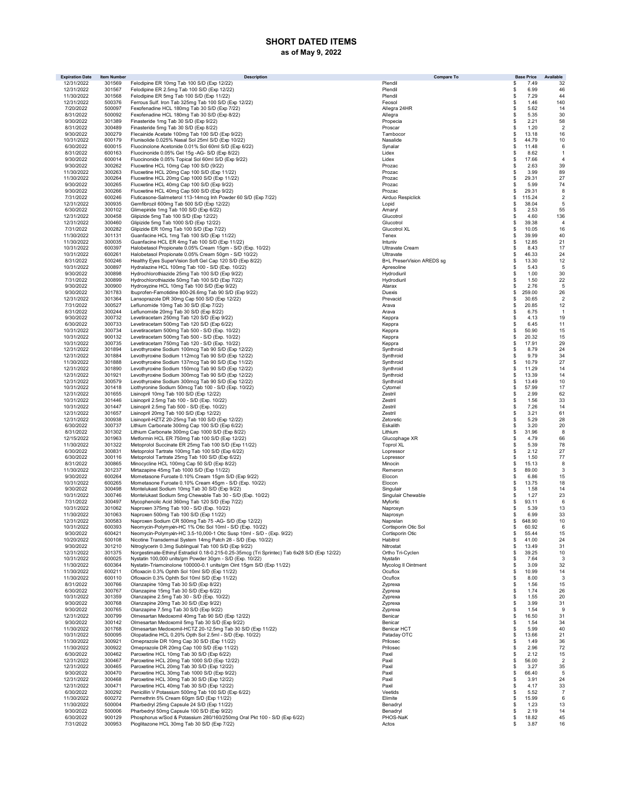## SHORT DATED ITEMS as of May 9, 2022

| <b>Expiration Date</b>   | <b>Item Number</b> | <b>Description</b>                                                                                                                    | <b>Compare To</b>              | <b>Base Price</b>           | Available            |
|--------------------------|--------------------|---------------------------------------------------------------------------------------------------------------------------------------|--------------------------------|-----------------------------|----------------------|
| 12/31/2022               | 301569             | Felodipine ER 10mg Tab 100 S/D (Exp 12/22)                                                                                            | Plendil                        | 7.49<br>\$                  | 32                   |
| 12/31/2022               | 301567             | Felodipine ER 2.5mg Tab 100 S/D (Exp 12/22)                                                                                           | Plendil                        | 6.99<br>\$                  | 46                   |
| 11/30/2022<br>12/31/2022 | 301568<br>500376   | Felodipine ER 5mg Tab 100 S/D (Exp 11/22)<br>Ferrous Sulf. Iron Tab 325mg Tab 100 S/D (Exp 12/22)                                     | Plendil<br>Feosol              | 7.29<br>\$<br>1.46<br>\$    | 44<br>140            |
| 7/20/2022                | 500097             | Fexofenadine HCL 180mg Tab 30 S/D (Exp 7/22)                                                                                          | Allegra 24HR                   | \$<br>5.62                  | 14                   |
| 8/31/2022                | 500092             | Fexofenadine HCL 180mg Tab 30 S/D (Exp 8/22)                                                                                          | Allegra                        | \$<br>5.35                  | 30                   |
| 9/30/2022                | 301389             | Finasteride 1mg Tab 30 S/D (Exp 9/22)                                                                                                 | Propecia                       | \$<br>2.21                  | 58                   |
| 8/31/2022                | 300489             | Finasteride 5mg Tab 30 S/D (Exp 8/22)                                                                                                 | Proscar                        | \$<br>1.20                  | 2                    |
| 9/30/2022                | 300279             | Flecainide Acetate 100mg Tab 100 S/D (Exp 9/22)                                                                                       | Tambocor                       | \$<br>13.18                 | 16                   |
| 10/31/2022<br>6/30/2022  | 600179             | Flunisolide 0.025% Nasal Sol 25ml S/D (Exp 10/22)                                                                                     | Nasalide                       | \$<br>44.79<br>\$           | 10                   |
| 8/31/2022                | 600015<br>600163   | Fluocinolone Acetonide 0.01% Sol 60ml S/D (Exp 6/22)<br>Fluocinonide 0.05% Gel 15g -AG- S/D (Exp 8/22)                                | Synalar<br>Lidex               | 11.48<br>\$<br>8.62         | 6<br>$\mathbf{1}$    |
| 9/30/2022                | 600014             | Fluocinonide 0.05% Topical Sol 60ml S/D (Exp 9/22)                                                                                    | Lidex                          | \$<br>17.66                 | $\overline{4}$       |
| 9/30/2022                | 300262             | Fluoxetine HCL 10mg Cap 100 S/D (9/22)                                                                                                | Prozac                         | 2.63<br>\$                  | 39                   |
| 11/30/2022               | 300263             | Fluoxetine HCL 20mg Cap 100 S/D (Exp 11/22)                                                                                           | Prozac                         | \$<br>3.99                  | 89                   |
| 11/30/2022               | 300264             | Fluoxetine HCL 20mg Cap 1000 S/D (Exp 11/22)                                                                                          | Prozac                         | \$<br>29.31                 | 27                   |
| 9/30/2022<br>9/30/2022   | 300265             | Fluoxetine HCL 40mg Cap 100 S/D (Exp 9/22)                                                                                            | Prozac                         | \$<br>5.99                  | 74                   |
| 7/31/2022                | 300266<br>600246   | Fluoxetine HCL 40mg Cap 500 S/D (Exp 9/22)<br>Fluticasone-Salmeterol 113-14mcg Inh Powder 60 S/D (Exp 7/22)                           | Prozac<br>Airduo Respiclick    | \$<br>29.31<br>\$<br>115.24 | 8<br>$\overline{2}$  |
| 12/31/2022               | 300935             | Gemfibrozil 600mg Tab 500 S/D (Exp 12/22)                                                                                             | Lopid                          | 38.04<br>\$                 | 5                    |
| 6/30/2022                | 300102             | Glimepiride 1mg Tab 100 S/D (Exp 6/22)                                                                                                | Amaryl                         | 2.53<br>\$                  | 55                   |
| 12/31/2022               | 300458             | Glipizide 5mg Tab 100 S/D (Exp 12/22)                                                                                                 | Glucotrol                      | \$<br>4.60                  | 136                  |
| 12/31/2022               | 300460             | Glipizide 5mg Tab 1000 S/D (Exp 12/22)                                                                                                | Glucotrol                      | \$<br>39.38                 | $\overline{4}$       |
| 7/31/2022                | 300282             | Glipizide ER 10mg Tab 100 S/D (Exp 7/22)                                                                                              | Glucotrol XL                   | \$<br>10.05                 | 16                   |
| 11/30/2022               | 301131             | Guanfacine HCL 1mg Tab 100 S/D (Exp 11/22)                                                                                            | Tenex                          | 39.99<br>\$                 | 40                   |
| 11/30/2022<br>10/31/2022 | 300035<br>600397   | Guanfacine HCL ER 4mg Tab 100 S/D (Exp 11/22)<br>Halobetasol Propionate 0.05% Cream 15gm - S/D (Exp. 10/22)                           | Intuniv<br>Ultravate Cream     | 12.85<br>\$<br>\$<br>8.43   | 21<br>17             |
| 10/31/2022               | 600261             | Halobetasol Propionate 0.05% Cream 50gm - S/D 10/22)                                                                                  | Ultravate                      | 46.33<br>\$                 | 24                   |
| 8/31/2022                | 500246             | Healthy Eyes SuperVision Soft Gel Cap 120 S/D (Exp 8/22)                                                                              | B+L PreserVision AREDS sg      | 13.30<br>\$                 | 12                   |
| 10/31/2022               | 300897             | Hydralazine HCL 100mg Tab 100 - S/D (Exp. 10/22)                                                                                      | Apresoline                     | \$<br>5.43                  | 5                    |
| 9/30/2022                | 300898             | Hydrochlorothiazide 25mg Tab 100 S/D (Exp 9/22)                                                                                       | Hydrodiuril                    | \$<br>1.00                  | 30                   |
| 7/31/2022                | 300899             | Hydrochlorothiazide 50mg Tab 100 S/D (Exp 7/22)                                                                                       | Hydrodiuril                    | \$<br>1.50                  | 22                   |
| 9/30/2022                | 300900             | Hydroxyzine HCL 10mg Tab 100 S/D (Exp 9/22)                                                                                           | Atarax                         | \$<br>2.76                  | 5                    |
| 9/30/2022<br>12/31/2022  | 301783<br>301364   | Ibuprofen-Famotidine 800-26.6mg Tab 90 S/D (Exp 9/22)<br>Lansoprazole DR 30mg Cap 500 S/D (Exp 12/22)                                 | Duexis<br>Prevacid             | \$<br>259.00<br>\$<br>30.65 | 26<br>$\overline{2}$ |
| 7/31/2022                | 300527             | Leflunomide 10mg Tab 30 S/D (Exp 7/22)                                                                                                | Arava                          | \$<br>20.85                 | 12                   |
| 8/31/2022                | 300244             | Leflunomide 20mg Tab 30 S/D (Exp 8/22)                                                                                                | Arava                          | \$<br>6.75                  | -1                   |
| 9/30/2022                | 300732             | Levetiracetam 250mg Tab 120 S/D (Exp 9/22)                                                                                            | Keppra                         | \$<br>4.13                  | 19                   |
| 6/30/2022                | 300733             | Levetiracetam 500mg Tab 120 S/D (Exp 6/22)                                                                                            | Keppra                         | 6.45<br>\$                  | 11                   |
| 10/31/2022               | 300734             | Levetiracetam 500mg Tab 500 - S/D (Exp. 10/22)                                                                                        | Keppra                         | \$<br>50.90                 | 15                   |
| 10/31/2022               | 900132             | Levetiracetam 500mg Tab 500 - S/D (Exp. 10/22)                                                                                        | Keppra                         | \$<br>20.32                 | 15                   |
| 10/31/2022<br>12/31/2022 | 300735<br>301894   | Levetiracetam 750mg Tab 120 - S/D (Exp. 10/22)                                                                                        | Keppra<br>Synthroid            | \$<br>17.91<br>\$<br>8.79   | 29<br>24             |
| 12/31/2022               | 301884             | Levothyroxine Sodium 100mcg Tab 90 S/D (Exp 12/22)<br>Levothyroxine Sodium 112mcg Tab 90 S/D (Exp 12/22)                              | Synthroid                      | 9.79<br>\$                  | 34                   |
| 11/30/2022               | 301888             | Levothyroxine Sodium 137mcg Tab 90 S/D (Exp 11/22)                                                                                    | Synthroid                      | \$<br>10.79                 | 27                   |
| 12/31/2022               | 301890             | Levothyroxine Sodium 150mcg Tab 90 S/D (Exp 12/22)                                                                                    | Synthroid                      | \$<br>11.29                 | 14                   |
| 12/31/2022               | 301921             | Levothyroxine Sodium 300mcg Tab 90 S/D (Exp 12/22)                                                                                    | Synthroid                      | \$<br>13.39                 | 14                   |
| 12/31/2022               | 300579             | Levothyroxine Sodium 300mcg Tab 90 S/D (Exp 12/22)                                                                                    | Synthroid                      | \$<br>13.49                 | 10                   |
| 10/31/2022               | 301418             | Liothyronine Sodium 50mcg Tab 100 - S/D (Exp. 10/22)                                                                                  | Cytomel                        | \$<br>57.99                 | 17                   |
| 12/31/2022<br>10/31/2022 | 301655<br>301446   | Lisinopril 10mg Tab 100 S/D (Exp 12/22)                                                                                               | Zestril<br>Zestril             | \$<br>2.99<br>1.56          | 62<br>33             |
| 10/31/2022               | 301447             | Lisinopril 2.5mg Tab 100 - S/D (Exp. 10/22)<br>Lisinopril 2.5mg Tab 500 - S/D (Exp. 10/22)                                            | Zestril                        | \$<br>7.26<br>\$            | 14                   |
| 12/31/2022               | 301657             | Lisinopril 20mg Tab 100 S/D (Exp 12/22)                                                                                               | Zestril                        | \$<br>3.21                  | 61                   |
| 12/31/2022               | 300938             | Lisinopril-HZTZ 20-25mg Tab 100 S/D (Exp 12/22)                                                                                       | Zetoretic                      | 5.29<br>\$                  | 28                   |
| 6/30/2022                | 300737             | Lithium Carbonate 300mg Cap 100 S/D (Exp 6/22)                                                                                        | Eskalith                       | \$<br>3.20                  | 20                   |
| 8/31/2022                | 301302             | Lithium Carbonate 300mg Cap 1000 S/D (Exp 8/22)                                                                                       | Lithium                        | \$<br>31.96                 | 8                    |
| 12/15/2022               | 301963             | Metformin HCL ER 750mg Tab 100 S/D (Exp 12/22)                                                                                        | Glucophage XR                  | \$<br>4.79                  | 66                   |
| 11/30/2022<br>6/30/2022  | 301322<br>300831   | Metoprolol Succinate ER 25mg Tab 100 S/D (Exp 11/22)<br>Metoprolol Tartrate 100mg Tab 100 S/D (Exp 6/22)                              | <b>Toprol XL</b><br>Lopressor  | \$<br>5.39<br>\$<br>2.12    | 78<br>27             |
| 6/30/2022                | 300116             | Metoprolol Tartrate 25mg Tab 100 S/D (Exp 6/22)                                                                                       | Lopressor                      | \$<br>1.50                  | 77                   |
| 8/31/2022                | 300865             | Minocycline HCL 100mg Cap 50 S/D (Exp 8/22)                                                                                           | Minocin                        | \$<br>15.13                 | 8                    |
| 11/30/2022               | 301237             | Mirtazapine 45mg Tab 1000 S/D (Exp 11/22)                                                                                             | Remeron                        | \$<br>89.00                 | 3                    |
| 9/30/2022                | 600264             | Mometasone Furoate 0.10% Cream 15gm S/D (Exp 9/22)                                                                                    | Elocon                         | 6.86<br>\$                  | 15                   |
| 10/31/2022               | 600265             | Mometasone Furoate 0.10% Cream 45gm - S/D (Exp. 10/22)                                                                                | Elocon                         | 13.75<br>\$                 | 18                   |
| 9/30/2022<br>10/31/2022  | 300498             | Montelukast Sodium 10mg Tab 30 S/D (Exp 9/22)                                                                                         | Singulair                      | \$<br>1.58                  | 14                   |
| 7/31/2022                | 300746<br>300497   | Montelukast Sodium 5mg Chewable Tab 30 - S/D (Exp. 10/22)<br>Mycophenolic Acid 360mg Tab 120 S/D (Exp 7/22)                           | Singulair Chewable<br>Myfortic | 1.27<br>S<br>\$<br>93.11    | 23<br>6              |
| 10/31/2022               | 301062             | Naproxen 375mg Tab 100 - S/D (Exp. 10/22)                                                                                             | Naprosyn                       | \$<br>5.39                  | 13                   |
| 11/30/2022               | 301063             | Naproxen 500mg Tab 100 S/D (Exp 11/22)                                                                                                | Naprosyn                       | \$<br>6.99                  | 33                   |
| 12/31/2022               | 300583             | Naproxen Sodium CR 500mg Tab 75 -AG- S/D (Exp 12/22)                                                                                  | Naprelan                       | \$<br>648.90                | 10                   |
| 10/31/2022               | 600393             | Neomycin-Polymyxin-HC 1% Otic Sol 10ml - S/D (Exp. 10/22)                                                                             | Cortisporin Otic Sol           | \$<br>60.92                 | 6                    |
| 9/30/2022<br>10/20/2022  | 600421<br>500108   | Neomycin-Polymyxin-HC 3.5-10,000-1 Otic Susp 10ml - S/D - (Exp. 9/22)<br>Nicotine Transdermal System 14mg Patch 28 - S/D (Exp. 10/22) | Cortisporin Otic<br>Habitrol   | \$<br>55.44<br>\$<br>41.00  | 15<br>24             |
| 9/30/2022                | 301210             | Nitroglycerin 0.3mg Sublingual Tab 100 S/D (Exp 9/22)                                                                                 | Nitrostat                      | 13.49<br>\$                 | 31                   |
| 12/31/2022               | 301375             | Norgestimate-Ethinyl Estradiol 0.18-0.215-0.25-35mcg (Tri Sprintec) Tab 6x28 S/D (Exp 12/22)                                          | Ortho Tri-Cyclen               | 39.25<br>\$                 | 10                   |
| 10/31/2022               | 600025             | Nystatin 100,000 units/gm Powder 30gm - S/D (Exp. 10/22)                                                                              | Nystatin                       | 7.64<br>\$                  | -3                   |
| 11/30/2022               | 600364             | Nystatin-Triamcinolone 100000-0.1 units/gm Oint 15gm S/D (Exp 11/22)                                                                  | Mycolog II Ointment            | 3.09<br>\$                  | 32                   |
| 11/30/2022               | 600211             | Ofloxacin 0.3% Ophth Sol 10ml S/D (Exp 11/22)                                                                                         | Ocuflox                        | \$<br>10.99                 | 14                   |
| 11/30/2022               | 600110             | Ofloxacin 0.3% Ophth Sol 10ml S/D (Exp 11/22)                                                                                         | Ocuflox                        | \$<br>8.00                  | -3                   |
| 8/31/2022<br>6/30/2022   | 300766<br>300767   | Olanzapine 10mg Tab 30 S/D (Exp 8/22)<br>Olanzapine 15mg Tab 30 S/D (Exp 6/22)                                                        | Zyprexa                        | \$<br>1.56<br>\$<br>1.74    | 15<br>26             |
| 10/31/2022               | 301359             | Olanzapine 2.5mg Tab 30 - S/D (Exp. 10/22)                                                                                            | Zyprexa<br>Zyprexa             | \$<br>1.55                  | 20                   |
| 9/30/2022                | 300768             | Olanzapine 20mg Tab 30 S/D (Exp 9/22)                                                                                                 | Zyprexa                        | \$<br>3.99                  | 31                   |
| 9/30/2022                | 300765             | Olanzapine 7.5mg Tab 30 S/D (Exp 9/22)                                                                                                | Zyprexa                        | \$<br>1.54                  | -9                   |
| 12/31/2022               | 300799             | Olmesartan Medoxomil 40mg Tab 90 S/D (Exp 12/22)                                                                                      | Benicar                        | \$<br>16.50                 | 31                   |
| 9/30/2022                | 300142             | Olmesartan Medoxomil 5mg Tab 30 S/D (Exp 9/22)                                                                                        | Benicar                        | \$<br>1.54                  | 34                   |
| 11/30/2022               | 301768             | Olmesartan Medoxomil-HCTZ 20-12.5mg Tab 30 S/D (Exp 11/22)                                                                            | <b>Benicar HCT</b>             | \$<br>5.99                  | 40                   |
| 10/31/2022<br>11/30/2022 | 500095<br>300921   | Olopatadine HCL 0.20% Opth Sol 2.5ml - S/D (Exp. 10/22)<br>Omeprazole DR 10mg Cap 30 S/D (Exp 11/22)                                  | Pataday OTC                    | \$<br>13.66<br>1.49         | 21                   |
| 11/30/2022               | 300922             | Omeprazole DR 20mg Cap 100 S/D (Exp 11/22)                                                                                            | Prilosec<br>Prilosec           | \$<br>2.96<br>\$            | 36<br>72             |
| 6/30/2022                | 300462             | Paroxetine HCL 10mg Tab 30 S/D (Exp 6/22)                                                                                             | Paxil                          | \$<br>2.12                  | 15                   |
| 12/31/2022               | 300467             | Paroxetine HCL 20mg Tab 1000 S/D (Exp 12/22)                                                                                          | Paxil                          | 56.00<br>\$                 | $\overline{2}$       |
| 12/31/2022               | 300465             | Paroxetine HCL 20mg Tab 30 S/D (Exp 12/22)                                                                                            | Paxil                          | \$<br>3.27                  | 35                   |
| 9/30/2022                | 300470             | Paroxetine HCL 30mg Tab 1000 S/D (Exp 9/22)                                                                                           | Paxil                          | \$<br>66.40                 | 5                    |
| 12/31/2022               | 300468             | Paroxetine HCL 30mg Tab 30 S/D (Exp 12/22)                                                                                            | Paxil                          | \$<br>3.91                  | 24                   |
| 12/31/2022               | 300471             | Paroxetine HCL 40mg Tab 30 S/D (Exp 12/22)                                                                                            | Paxil                          | \$<br>4.17                  | 33                   |
| 6/30/2022<br>11/30/2022  | 300292<br>600272   | Penicillin V Potassium 500mg Tab 100 S/D (Exp 6/22)<br>Permethrin 5% Cream 60gm S/D (Exp 11/22)                                       | Veetids<br>Elimite             | \$<br>5.52<br>\$<br>15.99   | $\overline{7}$<br>6  |
| 11/30/2022               | 500004             | Pharbedryl 25mg Capsule 24 S/D (Exp 11/22)                                                                                            | Benadryl                       | \$<br>1.23                  | 13                   |
| 9/30/2022                | 500006             | Pharbedryl 50mg Capsule 100 S/D (Exp 9/22)                                                                                            | Benadryl                       | \$<br>2.19                  | 14                   |
| 6/30/2022                | 900129             | Phosphorus w/Sod & Potassium 280/160/250mg Oral Pkt 100 - S/D (Exp 6/22)                                                              | PHOS-NaK                       | 18.82<br>\$                 | 45                   |
| 7/31/2022                | 300953             | Pioglitazone HCL 30mg Tab 30 S/D (Exp 7/22)                                                                                           | Actos                          | 3.87<br>\$                  | 16                   |